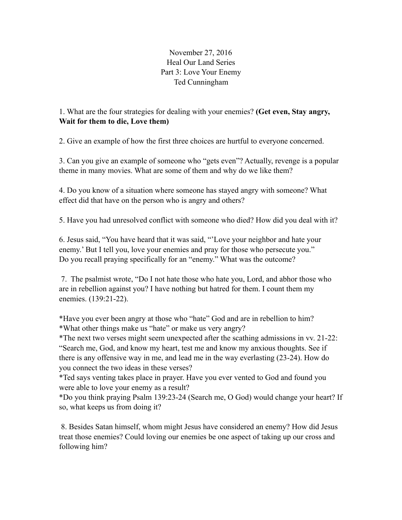November 27, 2016 Heal Our Land Series Part 3: Love Your Enemy Ted Cunningham

## 1. What are the four strategies for dealing with your enemies? **(Get even, Stay angry, Wait for them to die, Love them)**

2. Give an example of how the first three choices are hurtful to everyone concerned.

3. Can you give an example of someone who "gets even"? Actually, revenge is a popular theme in many movies. What are some of them and why do we like them?

4. Do you know of a situation where someone has stayed angry with someone? What effect did that have on the person who is angry and others?

5. Have you had unresolved conflict with someone who died? How did you deal with it?

6. Jesus said, "You have heard that it was said, "'Love your neighbor and hate your enemy.' But I tell you, love your enemies and pray for those who persecute you." Do you recall praying specifically for an "enemy." What was the outcome?

 7. The psalmist wrote, "Do I not hate those who hate you, Lord, and abhor those who are in rebellion against you? I have nothing but hatred for them. I count them my enemies. (139:21-22).

\*Have you ever been angry at those who "hate" God and are in rebellion to him? \*What other things make us "hate" or make us very angry?

\*The next two verses might seem unexpected after the scathing admissions in vv. 21-22: "Search me, God, and know my heart, test me and know my anxious thoughts. See if there is any offensive way in me, and lead me in the way everlasting (23-24). How do you connect the two ideas in these verses?

\*Ted says venting takes place in prayer. Have you ever vented to God and found you were able to love your enemy as a result?

\*Do you think praying Psalm 139:23-24 (Search me, O God) would change your heart? If so, what keeps us from doing it?

 8. Besides Satan himself, whom might Jesus have considered an enemy? How did Jesus treat those enemies? Could loving our enemies be one aspect of taking up our cross and following him?